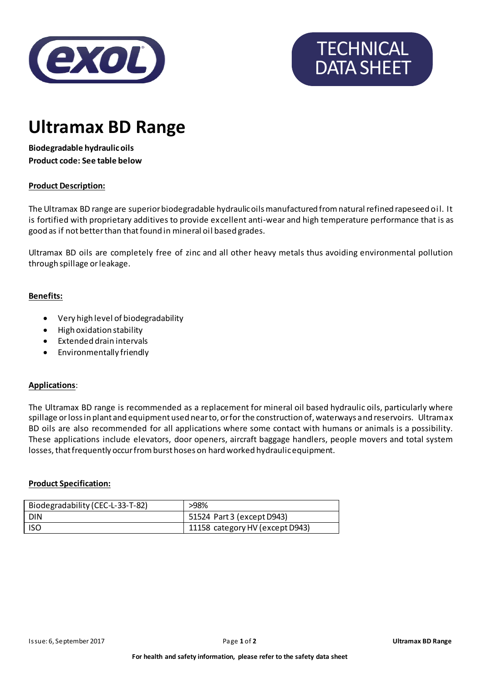

# **TECHNICAL** DATA SHEET

### **Ultramax BD Range**

**Biodegradable hydraulic oils Product code: See table below**

#### **Product Description:**

The Ultramax BD range are superior biodegradable hydraulic oils manufactured from natural refined rapeseed oil. It is fortified with proprietary additives to provide excellent anti-wear and high temperature performance that is as good as if not better than that found in mineral oil based grades.

Ultramax BD oils are completely free of zinc and all other heavy metals thus avoiding environmental pollution through spillage or leakage.

#### **Benefits:**

- Very high level of biodegradability
- High oxidation stability
- Extended drain intervals
- Environmentally friendly

#### **Applications**:

The Ultramax BD range is recommended as a replacement for mineral oil based hydraulic oils, particularly where spillage or loss in plant and equipment used near to, or for the construction of, waterways and reservoirs. Ultramax BD oils are also recommended for all applications where some contact with humans or animals is a possibility. These applications include elevators, door openers, aircraft baggage handlers, people movers and total system losses, that frequently occur from burst hoses on hard worked hydraulic equipment.

#### **Product Specification:**

| Biodegradability (CEC-L-33-T-82) | >98%                            |
|----------------------------------|---------------------------------|
| DIN                              | 51524 Part 3 (except D943)      |
| <b>ISO</b>                       | 11158 category HV (except D943) |